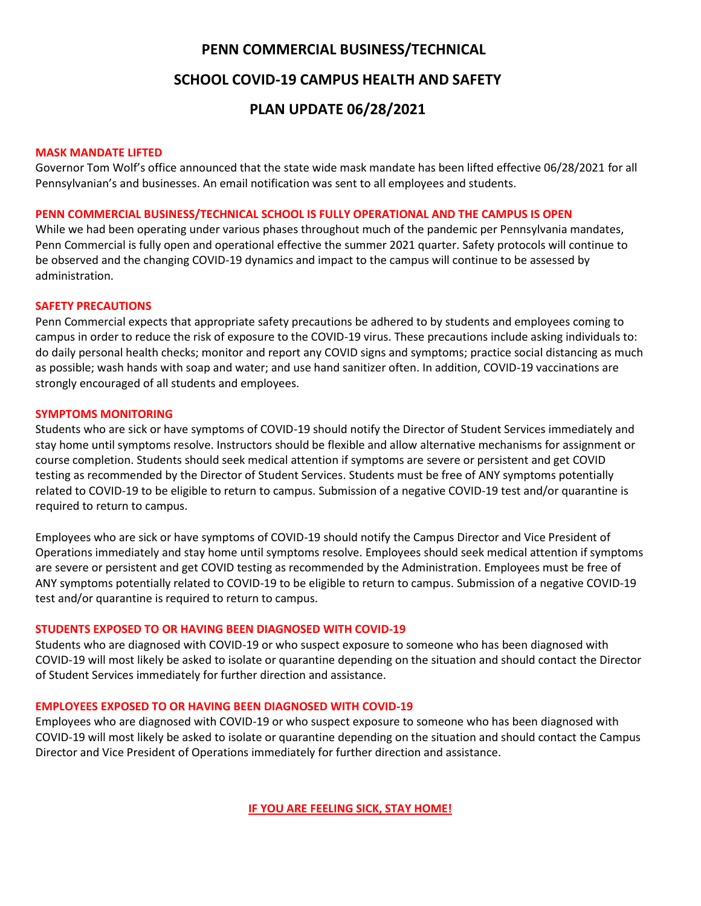### **PENN COMMERCIAL BUSINESS/TECHNICAL**

### **SCHOOL COVID-19 CAMPUS HEALTH AND SAFETY**

# **PLAN UPDATE 06/28/2021**

#### **MASK MANDATE LIFTED**

Governor Tom Wolf's office announced that the state wide mask mandate has been lifted effective 06/28/2021 for all Pennsylvanian's and businesses. An email notification was sent to all employees and students.

#### **PENN COMMERCIAL BUSINESS/TECHNICAL SCHOOL IS FULLY OPERATIONAL AND THE CAMPUS IS OPEN**

While we had been operating under various phases throughout much of the pandemic per Pennsylvania mandates, Penn Commercial is fully open and operational effective the summer 2021 quarter. Safety protocols will continue to be observed and the changing COVID-19 dynamics and impact to the campus will continue to be assessed by administration.

#### **SAFETY PRECAUTIONS**

Penn Commercial expects that appropriate safety precautions be adhered to by students and employees coming to campus in order to reduce the risk of exposure to the COVID-19 virus. These precautions include asking individuals to: do daily personal health checks; monitor and report any COVID signs and symptoms; practice social distancing as much as possible; wash hands with soap and water; and use hand sanitizer often. In addition, COVID-19 vaccinations are strongly encouraged of all students and employees.

#### **SYMPTOMS MONITORING**

Students who are sick or have symptoms of COVID-19 should notify the Director of Student Services immediately and stay home until symptoms resolve. Instructors should be flexible and allow alternative mechanisms for assignment or course completion. Students should seek medical attention if symptoms are severe or persistent and get COVID testing as recommended by the Director of Student Services. Students must be free of ANY symptoms potentially related to COVID-19 to be eligible to return to campus. Submission of a negative COVID-19 test and/or quarantine is required to return to campus.

Employees who are sick or have symptoms of COVID-19 should notify the Campus Director and Vice President of Operations immediately and stay home until symptoms resolve. Employees should seek medical attention if symptoms are severe or persistent and get COVID testing as recommended by the Administration. Employees must be free of ANY symptoms potentially related to COVID-19 to be eligible to return to campus. Submission of a negative COVID-19 test and/or quarantine is required to return to campus.

#### **STUDENTS EXPOSED TO OR HAVING BEEN DIAGNOSED WITH COVID-19**

Students who are diagnosed with COVID-19 or who suspect exposure to someone who has been diagnosed with COVID-19 will most likely be asked to isolate or quarantine depending on the situation and should contact the Director of Student Services immediately for further direction and assistance.

#### **EMPLOYEES EXPOSED TO OR HAVING BEEN DIAGNOSED WITH COVID-19**

Employees who are diagnosed with COVID-19 or who suspect exposure to someone who has been diagnosed with COVID-19 will most likely be asked to isolate or quarantine depending on the situation and should contact the Campus Director and Vice President of Operations immediately for further direction and assistance.